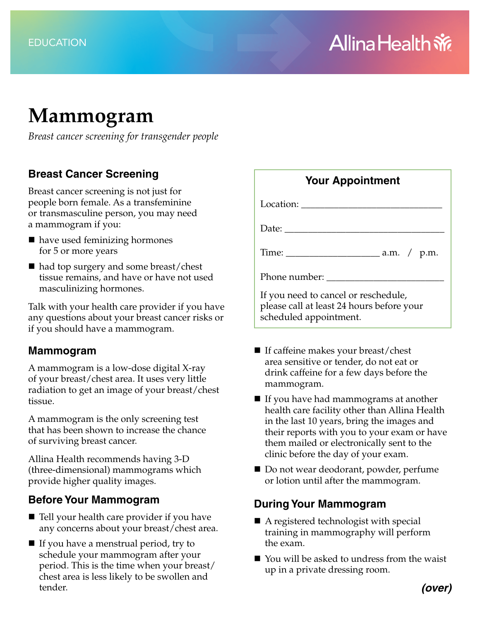# **Mammogram**

*Breast cancer screening for transgender people*

## **Breast Cancer Screening**

Breast cancer screening is not just for people born female. As a transfeminine or transmasculine person, you may need a mammogram if you:

- have used feminizing hormones for 5 or more years
- had top surgery and some breast/chest tissue remains, and have or have not used masculinizing hormones.

Talk with your health care provider if you have any questions about your breast cancer risks or if you should have a mammogram.

#### **Mammogram**

A mammogram is a low-dose digital X-ray of your breast/chest area. It uses very little radiation to get an image of your breast/chest tissue.

A mammogram is the only screening test that has been shown to increase the chance of surviving breast cancer.

Allina Health recommends having 3-D (three-dimensional) mammograms which provide higher quality images.

#### **Before Your Mammogram**

- Tell your health care provider if you have any concerns about your breast/chest area.
- $\blacksquare$  If you have a menstrual period, try to schedule your mammogram after your period. This is the time when your breast/ chest area is less likely to be swollen and tender.

| <b>Your Appointment</b>                                                                                                                                                                                                                                                                                                                                                                                                                           |  |
|---------------------------------------------------------------------------------------------------------------------------------------------------------------------------------------------------------------------------------------------------------------------------------------------------------------------------------------------------------------------------------------------------------------------------------------------------|--|
|                                                                                                                                                                                                                                                                                                                                                                                                                                                   |  |
| Date: $\frac{1}{\sqrt{1-\frac{1}{2}} \cdot \frac{1}{2} \cdot \frac{1}{2} \cdot \frac{1}{2} \cdot \frac{1}{2} \cdot \frac{1}{2} \cdot \frac{1}{2} \cdot \frac{1}{2} \cdot \frac{1}{2} \cdot \frac{1}{2} \cdot \frac{1}{2} \cdot \frac{1}{2} \cdot \frac{1}{2} \cdot \frac{1}{2} \cdot \frac{1}{2} \cdot \frac{1}{2} \cdot \frac{1}{2} \cdot \frac{1}{2} \cdot \frac{1}{2} \cdot \frac{1}{2} \cdot \frac{1}{2} \cdot \frac{1}{2} \cdot \frac{1}{2}$ |  |
|                                                                                                                                                                                                                                                                                                                                                                                                                                                   |  |
| Phone number:                                                                                                                                                                                                                                                                                                                                                                                                                                     |  |
| If you need to cancel or reschedule,<br>please call at least 24 hours before your<br>scheduled appointment.                                                                                                                                                                                                                                                                                                                                       |  |

- $\blacksquare$  If caffeine makes your breast/chest area sensitive or tender, do not eat or drink caffeine for a few days before the mammogram.
- $\blacksquare$  If you have had mammograms at another health care facility other than Allina Health in the last 10 years, bring the images and their reports with you to your exam or have them mailed or electronically sent to the clinic before the day of your exam.
- Do not wear deodorant, powder, perfume or lotion until after the mammogram.

## **During Your Mammogram**

- A registered technologist with special training in mammography will perform the exam.
- You will be asked to undress from the waist up in a private dressing room.